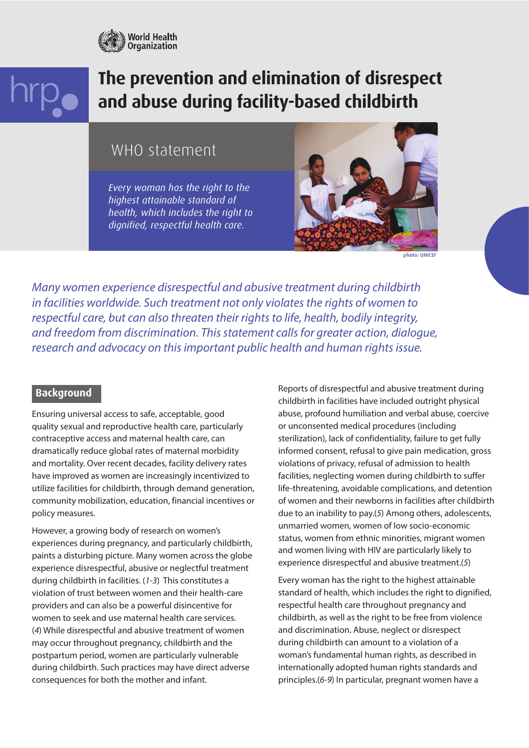

# **The prevention and elimination of disrespect and abuse during facility-based childbirth**

# WHO statement

*Every woman has the right to the highest attainable standard of health, which includes the right to dignified, respectful health care.* 



photo: UNICEF

*Many women experience disrespectful and abusive treatment during childbirth in facilities worldwide. Such treatment not only violates the rights of women to respectful care, but can also threaten their rights to life, health, bodily integrity, and freedom from discrimination. This statement calls for greater action, dialogue, research and advocacy on this important public health and human rights issue.*

#### **Background**

Ensuring universal access to safe, acceptable, good quality sexual and reproductive health care, particularly contraceptive access and maternal health care, can dramatically reduce global rates of maternal morbidity and mortality. Over recent decades, facility delivery rates have improved as women are increasingly incentivized to utilize facilities for childbirth, through demand generation, community mobilization, education, financial incentives or policy measures.

However, a growing body of research on women's experiences during pregnancy, and particularly childbirth, paints a disturbing picture. Many women across the globe experience disrespectful, abusive or neglectful treatment during childbirth in facilities. (*1-3*) This constitutes a violation of trust between women and their health-care providers and can also be a powerful disincentive for women to seek and use maternal health care services. (*4*) While disrespectful and abusive treatment of women may occur throughout pregnancy, childbirth and the postpartum period, women are particularly vulnerable during childbirth. Such practices may have direct adverse consequences for both the mother and infant.

Reports of disrespectful and abusive treatment during childbirth in facilities have included outright physical abuse, profound humiliation and verbal abuse, coercive or unconsented medical procedures (including sterilization), lack of confidentiality, failure to get fully informed consent, refusal to give pain medication, gross violations of privacy, refusal of admission to health facilities, neglecting women during childbirth to suffer life-threatening, avoidable complications, and detention of women and their newborns in facilities after childbirth due to an inability to pay.(*5*) Among others, adolescents, unmarried women, women of low socio-economic status, women from ethnic minorities, migrant women and women living with HIV are particularly likely to experience disrespectful and abusive treatment.(*5*)

Every woman has the right to the highest attainable standard of health, which includes the right to dignified, respectful health care throughout pregnancy and childbirth, as well as the right to be free from violence and discrimination. Abuse, neglect or disrespect during childbirth can amount to a violation of a woman's fundamental human rights, as described in internationally adopted human rights standards and principles.(*6-9*) In particular, pregnant women have a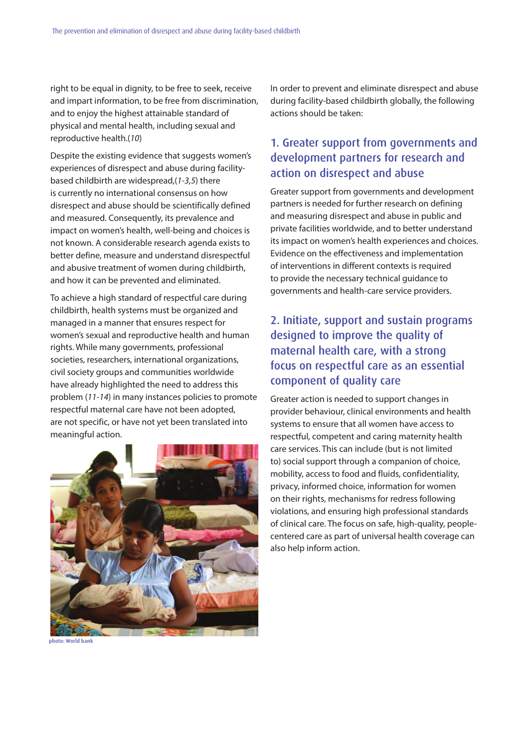right to be equal in dignity, to be free to seek, receive and impart information, to be free from discrimination, and to enjoy the highest attainable standard of physical and mental health, including sexual and reproductive health.(*10*)

Despite the existing evidence that suggests women's experiences of disrespect and abuse during facilitybased childbirth are widespread,(*1-3,5*) there is currently no international consensus on how disrespect and abuse should be scientifically defined and measured. Consequently, its prevalence and impact on women's health, well-being and choices is not known. A considerable research agenda exists to better define, measure and understand disrespectful and abusive treatment of women during childbirth, and how it can be prevented and eliminated.

To achieve a high standard of respectful care during childbirth, health systems must be organized and managed in a manner that ensures respect for women's sexual and reproductive health and human rights. While many governments, professional societies, researchers, international organizations, civil society groups and communities worldwide have already highlighted the need to address this problem (*11-14*) in many instances policies to promote respectful maternal care have not been adopted, are not specific, or have not yet been translated into meaningful action.



photo: World bank

In order to prevent and eliminate disrespect and abuse during facility-based childbirth globally, the following actions should be taken:

### 1. Greater support from governments and development partners for research and action on disrespect and abuse

Greater support from governments and development partners is needed for further research on defining and measuring disrespect and abuse in public and private facilities worldwide, and to better understand its impact on women's health experiences and choices. Evidence on the effectiveness and implementation of interventions in different contexts is required to provide the necessary technical guidance to governments and health-care service providers.

# 2. Initiate, support and sustain programs designed to improve the quality of maternal health care, with a strong focus on respectful care as an essential component of quality care

Greater action is needed to support changes in provider behaviour, clinical environments and health systems to ensure that all women have access to respectful, competent and caring maternity health care services. This can include (but is not limited to) social support through a companion of choice, mobility, access to food and fluids, confidentiality, privacy, informed choice, information for women on their rights, mechanisms for redress following violations, and ensuring high professional standards of clinical care. The focus on safe, high-quality, peoplecentered care as part of universal health coverage can also help inform action.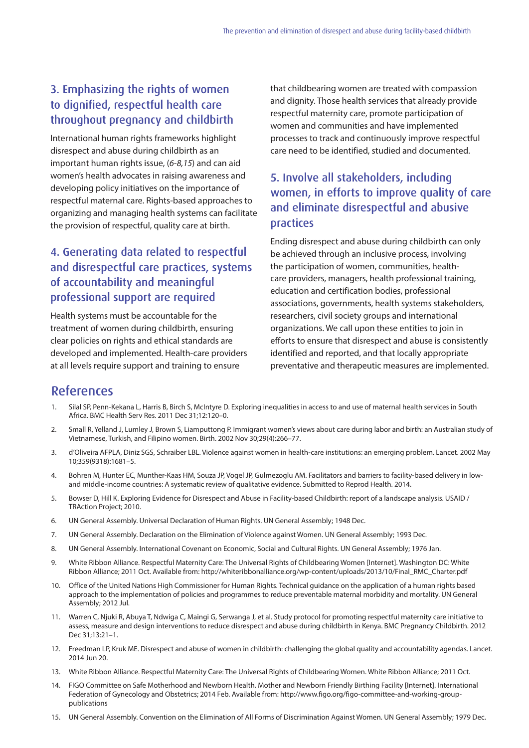#### 3. Emphasizing the rights of women to dignified, respectful health care throughout pregnancy and childbirth

International human rights frameworks highlight disrespect and abuse during childbirth as an important human rights issue, (*6-8,15*) and can aid women's health advocates in raising awareness and developing policy initiatives on the importance of respectful maternal care. Rights-based approaches to organizing and managing health systems can facilitate the provision of respectful, quality care at birth.

# 4. Generating data related to respectful and disrespectful care practices, systems of accountability and meaningful professional support are required

Health systems must be accountable for the treatment of women during childbirth, ensuring clear policies on rights and ethical standards are developed and implemented. Health-care providers at all levels require support and training to ensure

that childbearing women are treated with compassion and dignity. Those health services that already provide respectful maternity care, promote participation of women and communities and have implemented processes to track and continuously improve respectful care need to be identified, studied and documented.

## 5. Involve all stakeholders, including women, in efforts to improve quality of care and eliminate disrespectful and abusive practices

Ending disrespect and abuse during childbirth can only be achieved through an inclusive process, involving the participation of women, communities, healthcare providers, managers, health professional training, education and certification bodies, professional associations, governments, health systems stakeholders, researchers, civil society groups and international organizations. We call upon these entities to join in efforts to ensure that disrespect and abuse is consistently identified and reported, and that locally appropriate preventative and therapeutic measures are implemented.

#### References

- 1. Silal SP, Penn-Kekana L, Harris B, Birch S, McIntyre D. Exploring inequalities in access to and use of maternal health services in South Africa. BMC Health Serv Res. 2011 Dec 31;12:120–0.
- 2. Small R, Yelland J, Lumley J, Brown S, Liamputtong P. Immigrant women's views about care during labor and birth: an Australian study of Vietnamese, Turkish, and Filipino women. Birth. 2002 Nov 30;29(4):266–77.
- 3. d'Oliveira AFPLA, Diniz SGS, Schraiber LBL. Violence against women in health-care institutions: an emerging problem. Lancet. 2002 May 10;359(9318):1681–5.
- 4. Bohren M, Hunter EC, Munther-Kaas HM, Souza JP, Vogel JP, Gulmezoglu AM. Facilitators and barriers to facility-based delivery in lowand middle-income countries: A systematic review of qualitative evidence. Submitted to Reprod Health. 2014.
- 5. Bowser D, Hill K. Exploring Evidence for Disrespect and Abuse in Facility-based Childbirth: report of a landscape analysis. USAID / TRAction Project; 2010.
- 6. UN General Assembly. Universal Declaration of Human Rights. UN General Assembly; 1948 Dec.
- 7. UN General Assembly. Declaration on the Elimination of Violence against Women. UN General Assembly; 1993 Dec.
- 8. UN General Assembly. International Covenant on Economic, Social and Cultural Rights. UN General Assembly; 1976 Jan.
- 9. White Ribbon Alliance. Respectful Maternity Care: The Universal Rights of Childbearing Women [Internet]. Washington DC: White Ribbon Alliance; 2011 Oct. Available from: http://whiteribbonalliance.org/wp-content/uploads/2013/10/Final\_RMC\_Charter.pdf
- 10. Office of the United Nations High Commissioner for Human Rights. Technical guidance on the application of a human rights based approach to the implementation of policies and programmes to reduce preventable maternal morbidity and mortality. UN General Assembly; 2012 Jul.
- 11. Warren C, Njuki R, Abuya T, Ndwiga C, Maingi G, Serwanga J, et al. Study protocol for promoting respectful maternity care initiative to assess, measure and design interventions to reduce disrespect and abuse during childbirth in Kenya. BMC Pregnancy Childbirth. 2012 Dec 31;13:21–1.
- 12. Freedman LP, Kruk ME. Disrespect and abuse of women in childbirth: challenging the global quality and accountability agendas. Lancet. 2014 Jun 20.
- 13. White Ribbon Alliance. Respectful Maternity Care: The Universal Rights of Childbearing Women. White Ribbon Alliance; 2011 Oct.
- 14. FIGO Committee on Safe Motherhood and Newborn Health. Mother and Newborn Friendly Birthing Facility [Internet]. International Federation of Gynecology and Obstetrics; 2014 Feb. Available from: http://www.figo.org/figo-committee-and-working-grouppublications
- 15. UN General Assembly. Convention on the Elimination of All Forms of Discrimination Against Women. UN General Assembly; 1979 Dec.